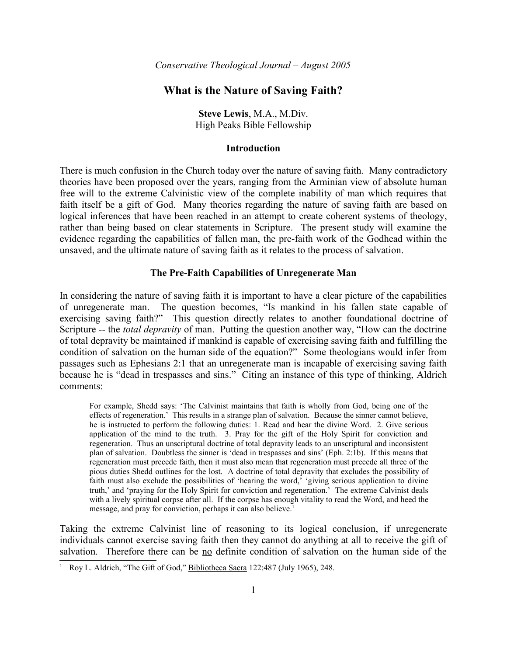# **What is the Nature of Saving Faith?**

**Steve Lewis**, M.A., M.Div. High Peaks Bible Fellowship

#### **Introduction**

There is much confusion in the Church today over the nature of saving faith. Many contradictory theories have been proposed over the years, ranging from the Arminian view of absolute human free will to the extreme Calvinistic view of the complete inability of man which requires that faith itself be a gift of God. Many theories regarding the nature of saving faith are based on logical inferences that have been reached in an attempt to create coherent systems of theology, rather than being based on clear statements in Scripture. The present study will examine the evidence regarding the capabilities of fallen man, the pre-faith work of the Godhead within the unsaved, and the ultimate nature of saving faith as it relates to the process of salvation.

#### **The Pre-Faith Capabilities of Unregenerate Man**

In considering the nature of saving faith it is important to have a clear picture of the capabilities of unregenerate man. The question becomes, "Is mankind in his fallen state capable of exercising saving faith?" This question directly relates to another foundational doctrine of Scripture -- the *total depravity* of man. Putting the question another way, "How can the doctrine of total depravity be maintained if mankind is capable of exercising saving faith and fulfilling the condition of salvation on the human side of the equation?" Some theologians would infer from passages such as Ephesians 2:1 that an unregenerate man is incapable of exercising saving faith because he is "dead in trespasses and sins." Citing an instance of this type of thinking, Aldrich comments:

For example, Shedd says: 'The Calvinist maintains that faith is wholly from God, being one of the effects of regeneration.' This results in a strange plan of salvation. Because the sinner cannot believe, he is instructed to perform the following duties: 1. Read and hear the divine Word. 2. Give serious application of the mind to the truth. 3. Pray for the gift of the Holy Spirit for conviction and regeneration. Thus an unscriptural doctrine of total depravity leads to an unscriptural and inconsistent plan of salvation. Doubtless the sinner is 'dead in trespasses and sins' (Eph. 2:1b). If this means that regeneration must precede faith, then it must also mean that regeneration must precede all three of the pious duties Shedd outlines for the lost. A doctrine of total depravity that excludes the possibility of faith must also exclude the possibilities of 'hearing the word,' 'giving serious application to divine truth,' and 'praying for the Holy Spirit for conviction and regeneration.' The extreme Calvinist deals with a lively spiritual corpse after all. If the corpse has enough vitality to read the Word, and heed the message, and pray for conviction, perhaps it can also believe.<sup>1</sup>

Taking the extreme Calvinist line of reasoning to its logical conclusion, if unregenerate individuals cannot exercise saving faith then they cannot do anything at all to receive the gift of salvation. Therefore there can be no definite condition of salvation on the human side of the

<sup>&</sup>lt;sup>1</sup> Roy L. Aldrich, "The Gift of God," Bibliotheca Sacra 122:487 (July 1965), 248.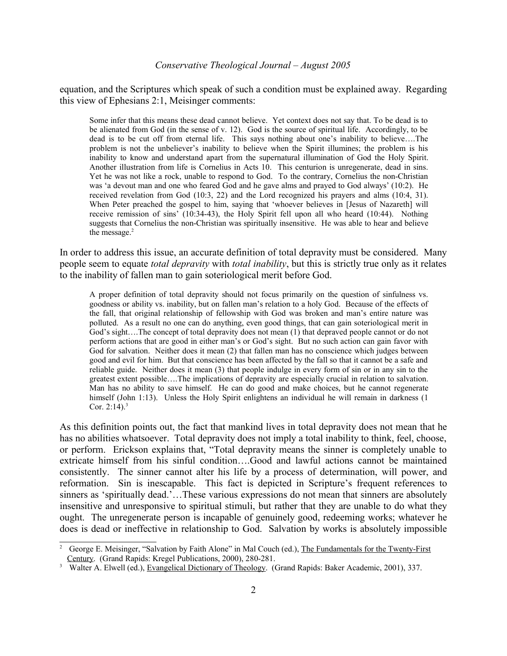equation, and the Scriptures which speak of such a condition must be explained away. Regarding this view of Ephesians 2:1, Meisinger comments:

Some infer that this means these dead cannot believe. Yet context does not say that. To be dead is to be alienated from God (in the sense of v. 12). God is the source of spiritual life. Accordingly, to be dead is to be cut off from eternal life. This says nothing about one's inability to believe….The problem is not the unbeliever's inability to believe when the Spirit illumines; the problem is his inability to know and understand apart from the supernatural illumination of God the Holy Spirit. Another illustration from life is Cornelius in Acts 10. This centurion is unregenerate, dead in sins. Yet he was not like a rock, unable to respond to God. To the contrary, Cornelius the non-Christian was 'a devout man and one who feared God and he gave alms and prayed to God always' (10:2). He received revelation from God (10:3, 22) and the Lord recognized his prayers and alms (10:4, 31). When Peter preached the gospel to him, saying that 'whoever believes in [Jesus of Nazareth] will receive remission of sins' (10:34-43), the Holy Spirit fell upon all who heard (10:44). Nothing suggests that Cornelius the non-Christian was spiritually insensitive. He was able to hear and believe the message.<sup>2</sup>

In order to address this issue, an accurate definition of total depravity must be considered. Many people seem to equate *total depravity* with *total inability*, but this is strictly true only as it relates to the inability of fallen man to gain soteriological merit before God.

A proper definition of total depravity should not focus primarily on the question of sinfulness vs. goodness or ability vs. inability, but on fallen man's relation to a holy God. Because of the effects of the fall, that original relationship of fellowship with God was broken and man's entire nature was polluted. As a result no one can do anything, even good things, that can gain soteriological merit in God's sight….The concept of total depravity does not mean (1) that depraved people cannot or do not perform actions that are good in either man's or God's sight. But no such action can gain favor with God for salvation. Neither does it mean (2) that fallen man has no conscience which judges between good and evil for him. But that conscience has been affected by the fall so that it cannot be a safe and reliable guide. Neither does it mean (3) that people indulge in every form of sin or in any sin to the greatest extent possible….The implications of depravity are especially crucial in relation to salvation. Man has no ability to save himself. He can do good and make choices, but he cannot regenerate himself (John 1:13). Unless the Holy Spirit enlightens an individual he will remain in darkness (1) Cor.  $2:14$ .<sup>3</sup>

As this definition points out, the fact that mankind lives in total depravity does not mean that he has no abilities whatsoever. Total depravity does not imply a total inability to think, feel, choose, or perform. Erickson explains that, "Total depravity means the sinner is completely unable to extricate himself from his sinful condition….Good and lawful actions cannot be maintained consistently. The sinner cannot alter his life by a process of determination, will power, and reformation. Sin is inescapable. This fact is depicted in Scripture's frequent references to sinners as 'spiritually dead.'…These various expressions do not mean that sinners are absolutely insensitive and unresponsive to spiritual stimuli, but rather that they are unable to do what they ought. The unregenerate person is incapable of genuinely good, redeeming works; whatever he does is dead or ineffective in relationship to God. Salvation by works is absolutely impossible

<sup>2</sup> George E. Meisinger, "Salvation by Faith Alone" in Mal Couch (ed.), The Fundamentals for the Twenty-First Century. (Grand Rapids: Kregel Publications, 2000), 280-281.

<sup>&</sup>lt;sup>3</sup> Walter A. Elwell (ed.), Evangelical Dictionary of Theology. (Grand Rapids: Baker Academic, 2001), 337.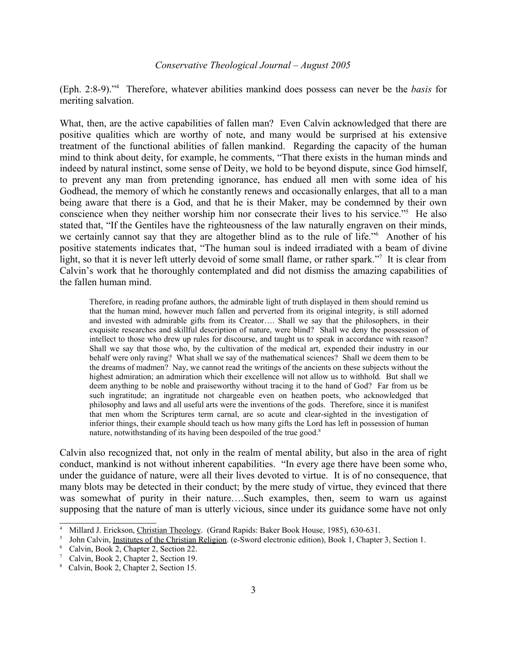(Eph. 2:8-9)."<sup>4</sup> Therefore, whatever abilities mankind does possess can never be the *basis* for meriting salvation.

What, then, are the active capabilities of fallen man? Even Calvin acknowledged that there are positive qualities which are worthy of note, and many would be surprised at his extensive treatment of the functional abilities of fallen mankind. Regarding the capacity of the human mind to think about deity, for example, he comments, "That there exists in the human minds and indeed by natural instinct, some sense of Deity, we hold to be beyond dispute, since God himself, to prevent any man from pretending ignorance, has endued all men with some idea of his Godhead, the memory of which he constantly renews and occasionally enlarges, that all to a man being aware that there is a God, and that he is their Maker, may be condemned by their own conscience when they neither worship him nor consecrate their lives to his service."<sup>5</sup> He also stated that, "If the Gentiles have the righteousness of the law naturally engraven on their minds, we certainly cannot say that they are altogether blind as to the rule of life."<sup>6</sup> Another of his positive statements indicates that, "The human soul is indeed irradiated with a beam of divine light, so that it is never left utterly devoid of some small flame, or rather spark."<sup>7</sup> It is clear from Calvin's work that he thoroughly contemplated and did not dismiss the amazing capabilities of the fallen human mind.

Therefore, in reading profane authors, the admirable light of truth displayed in them should remind us that the human mind, however much fallen and perverted from its original integrity, is still adorned and invested with admirable gifts from its Creator…. Shall we say that the philosophers, in their exquisite researches and skillful description of nature, were blind? Shall we deny the possession of intellect to those who drew up rules for discourse, and taught us to speak in accordance with reason? Shall we say that those who, by the cultivation of the medical art, expended their industry in our behalf were only raving? What shall we say of the mathematical sciences? Shall we deem them to be the dreams of madmen? Nay, we cannot read the writings of the ancients on these subjects without the highest admiration; an admiration which their excellence will not allow us to withhold. But shall we deem anything to be noble and praiseworthy without tracing it to the hand of God? Far from us be such ingratitude; an ingratitude not chargeable even on heathen poets, who acknowledged that philosophy and laws and all useful arts were the inventions of the gods. Therefore, since it is manifest that men whom the Scriptures term carnal, are so acute and clear-sighted in the investigation of inferior things, their example should teach us how many gifts the Lord has left in possession of human nature, notwithstanding of its having been despoiled of the true good.<sup>8</sup>

Calvin also recognized that, not only in the realm of mental ability, but also in the area of right conduct, mankind is not without inherent capabilities. "In every age there have been some who, under the guidance of nature, were all their lives devoted to virtue. It is of no consequence, that many blots may be detected in their conduct; by the mere study of virtue, they evinced that there was somewhat of purity in their nature....Such examples, then, seem to warn us against supposing that the nature of man is utterly vicious, since under its guidance some have not only

<sup>4</sup> Millard J. Erickson, Christian Theology. (Grand Rapids: Baker Book House, 1985), 630-631.

<sup>5</sup> John Calvin, Institutes of the Christian Religion. (e-Sword electronic edition), Book 1, Chapter 3, Section 1.

<sup>6</sup> Calvin, Book 2, Chapter 2, Section 22.

<sup>7</sup> Calvin, Book 2, Chapter 2, Section 19.

<sup>8</sup> Calvin, Book 2, Chapter 2, Section 15.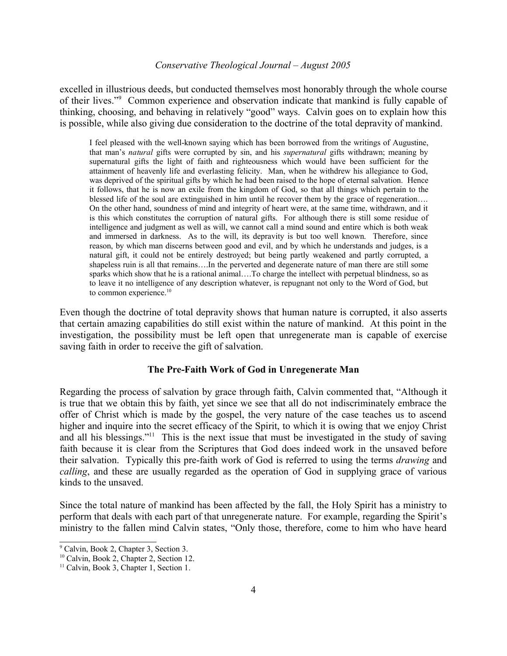excelled in illustrious deeds, but conducted themselves most honorably through the whole course of their lives."<sup>9</sup> Common experience and observation indicate that mankind is fully capable of thinking, choosing, and behaving in relatively "good" ways. Calvin goes on to explain how this is possible, while also giving due consideration to the doctrine of the total depravity of mankind.

I feel pleased with the well-known saying which has been borrowed from the writings of Augustine, that man's *natural* gifts were corrupted by sin, and his *supernatural* gifts withdrawn; meaning by supernatural gifts the light of faith and righteousness which would have been sufficient for the attainment of heavenly life and everlasting felicity. Man, when he withdrew his allegiance to God, was deprived of the spiritual gifts by which he had been raised to the hope of eternal salvation. Hence it follows, that he is now an exile from the kingdom of God, so that all things which pertain to the blessed life of the soul are extinguished in him until he recover them by the grace of regeneration…. On the other hand, soundness of mind and integrity of heart were, at the same time, withdrawn, and it is this which constitutes the corruption of natural gifts. For although there is still some residue of intelligence and judgment as well as will, we cannot call a mind sound and entire which is both weak and immersed in darkness. As to the will, its depravity is but too well known. Therefore, since reason, by which man discerns between good and evil, and by which he understands and judges, is a natural gift, it could not be entirely destroyed; but being partly weakened and partly corrupted, a shapeless ruin is all that remains….In the perverted and degenerate nature of man there are still some sparks which show that he is a rational animal….To charge the intellect with perpetual blindness, so as to leave it no intelligence of any description whatever, is repugnant not only to the Word of God, but to common experience.<sup>10</sup>

Even though the doctrine of total depravity shows that human nature is corrupted, it also asserts that certain amazing capabilities do still exist within the nature of mankind. At this point in the investigation, the possibility must be left open that unregenerate man is capable of exercise saving faith in order to receive the gift of salvation.

## **The Pre-Faith Work of God in Unregenerate Man**

Regarding the process of salvation by grace through faith, Calvin commented that, "Although it is true that we obtain this by faith, yet since we see that all do not indiscriminately embrace the offer of Christ which is made by the gospel, the very nature of the case teaches us to ascend higher and inquire into the secret efficacy of the Spirit, to which it is owing that we enjoy Christ and all his blessings."<sup>11</sup> This is the next issue that must be investigated in the study of saving faith because it is clear from the Scriptures that God does indeed work in the unsaved before their salvation. Typically this pre-faith work of God is referred to using the terms *drawing* and *calling*, and these are usually regarded as the operation of God in supplying grace of various kinds to the unsaved.

Since the total nature of mankind has been affected by the fall, the Holy Spirit has a ministry to perform that deals with each part of that unregenerate nature. For example, regarding the Spirit's ministry to the fallen mind Calvin states, "Only those, therefore, come to him who have heard

<sup>9</sup> Calvin, Book 2, Chapter 3, Section 3.

<sup>10</sup> Calvin, Book 2, Chapter 2, Section 12.

<sup>&</sup>lt;sup>11</sup> Calvin, Book 3, Chapter 1, Section 1.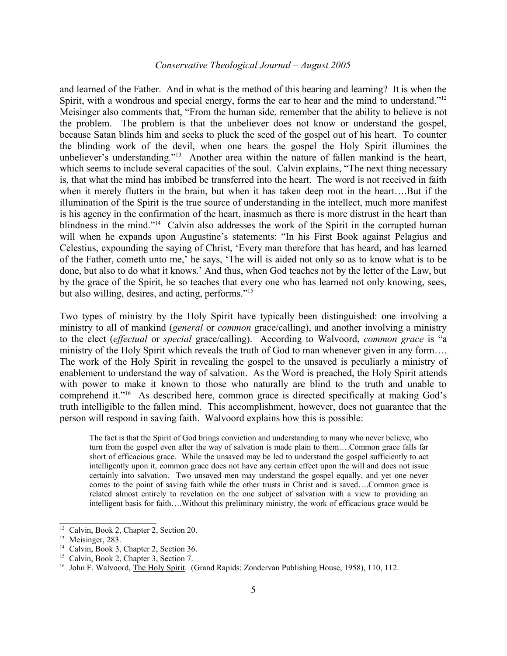and learned of the Father. And in what is the method of this hearing and learning? It is when the Spirit, with a wondrous and special energy, forms the ear to hear and the mind to understand."<sup>12</sup> Meisinger also comments that, "From the human side, remember that the ability to believe is not the problem. The problem is that the unbeliever does not know or understand the gospel, because Satan blinds him and seeks to pluck the seed of the gospel out of his heart. To counter the blinding work of the devil, when one hears the gospel the Holy Spirit illumines the unbeliever's understanding."<sup>13</sup> Another area within the nature of fallen mankind is the heart, which seems to include several capacities of the soul. Calvin explains, "The next thing necessary is, that what the mind has imbibed be transferred into the heart. The word is not received in faith when it merely flutters in the brain, but when it has taken deep root in the heart….But if the illumination of the Spirit is the true source of understanding in the intellect, much more manifest is his agency in the confirmation of the heart, inasmuch as there is more distrust in the heart than blindness in the mind."<sup>14</sup> Calvin also addresses the work of the Spirit in the corrupted human will when he expands upon Augustine's statements: "In his First Book against Pelagius and Celestius, expounding the saying of Christ, 'Every man therefore that has heard, and has learned of the Father, cometh unto me,' he says, 'The will is aided not only so as to know what is to be done, but also to do what it knows.' And thus, when God teaches not by the letter of the Law, but by the grace of the Spirit, he so teaches that every one who has learned not only knowing, sees, but also willing, desires, and acting, performs."<sup>15</sup>

Two types of ministry by the Holy Spirit have typically been distinguished: one involving a ministry to all of mankind (*general* or *common* grace/calling), and another involving a ministry to the elect (*effectual* or *special* grace/calling). According to Walvoord, *common grace* is "a ministry of the Holy Spirit which reveals the truth of God to man whenever given in any form…. The work of the Holy Spirit in revealing the gospel to the unsaved is peculiarly a ministry of enablement to understand the way of salvation. As the Word is preached, the Holy Spirit attends with power to make it known to those who naturally are blind to the truth and unable to comprehend it."<sup>16</sup> As described here, common grace is directed specifically at making God's truth intelligible to the fallen mind. This accomplishment, however, does not guarantee that the person will respond in saving faith. Walvoord explains how this is possible:

The fact is that the Spirit of God brings conviction and understanding to many who never believe, who turn from the gospel even after the way of salvation is made plain to them….Common grace falls far short of efficacious grace. While the unsaved may be led to understand the gospel sufficiently to act intelligently upon it, common grace does not have any certain effect upon the will and does not issue certainly into salvation. Two unsaved men may understand the gospel equally, and yet one never comes to the point of saving faith while the other trusts in Christ and is saved….Common grace is related almost entirely to revelation on the one subject of salvation with a view to providing an intelligent basis for faith….Without this preliminary ministry, the work of efficacious grace would be

<sup>&</sup>lt;sup>12</sup> Calvin, Book 2, Chapter 2, Section 20.

<sup>&</sup>lt;sup>13</sup> Meisinger, 283.

<sup>&</sup>lt;sup>14</sup> Calvin, Book 3, Chapter 2, Section 36.

<sup>&</sup>lt;sup>15</sup> Calvin, Book 2, Chapter 3, Section 7.

<sup>16</sup> John F. Walvoord, The Holy Spirit. (Grand Rapids: Zondervan Publishing House, 1958), 110, 112.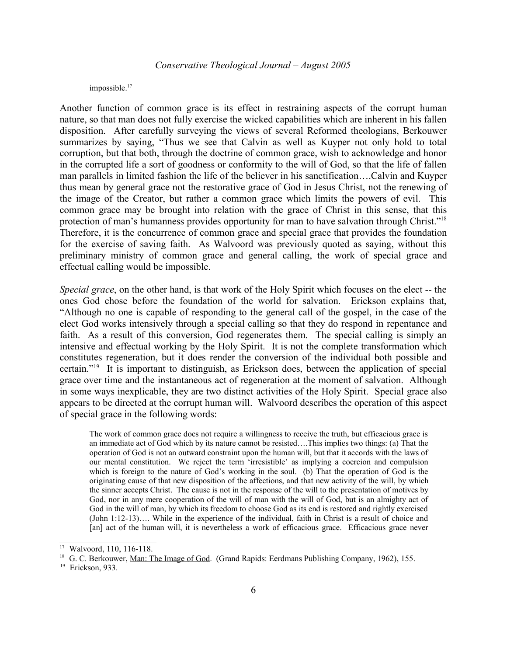impossible.<sup>17</sup>

Another function of common grace is its effect in restraining aspects of the corrupt human nature, so that man does not fully exercise the wicked capabilities which are inherent in his fallen disposition. After carefully surveying the views of several Reformed theologians, Berkouwer summarizes by saying, "Thus we see that Calvin as well as Kuyper not only hold to total corruption, but that both, through the doctrine of common grace, wish to acknowledge and honor in the corrupted life a sort of goodness or conformity to the will of God, so that the life of fallen man parallels in limited fashion the life of the believer in his sanctification….Calvin and Kuyper thus mean by general grace not the restorative grace of God in Jesus Christ, not the renewing of the image of the Creator, but rather a common grace which limits the powers of evil. This common grace may be brought into relation with the grace of Christ in this sense, that this protection of man's humanness provides opportunity for man to have salvation through Christ."<sup>18</sup> Therefore, it is the concurrence of common grace and special grace that provides the foundation for the exercise of saving faith. As Walvoord was previously quoted as saying, without this preliminary ministry of common grace and general calling, the work of special grace and effectual calling would be impossible.

*Special grace*, on the other hand, is that work of the Holy Spirit which focuses on the elect -- the ones God chose before the foundation of the world for salvation. Erickson explains that, "Although no one is capable of responding to the general call of the gospel, in the case of the elect God works intensively through a special calling so that they do respond in repentance and faith. As a result of this conversion, God regenerates them. The special calling is simply an intensive and effectual working by the Holy Spirit. It is not the complete transformation which constitutes regeneration, but it does render the conversion of the individual both possible and certain."<sup>19</sup> It is important to distinguish, as Erickson does, between the application of special grace over time and the instantaneous act of regeneration at the moment of salvation. Although in some ways inexplicable, they are two distinct activities of the Holy Spirit. Special grace also appears to be directed at the corrupt human will. Walvoord describes the operation of this aspect of special grace in the following words:

The work of common grace does not require a willingness to receive the truth, but efficacious grace is an immediate act of God which by its nature cannot be resisted….This implies two things: (a) That the operation of God is not an outward constraint upon the human will, but that it accords with the laws of our mental constitution. We reject the term 'irresistible' as implying a coercion and compulsion which is foreign to the nature of God's working in the soul. (b) That the operation of God is the originating cause of that new disposition of the affections, and that new activity of the will, by which the sinner accepts Christ. The cause is not in the response of the will to the presentation of motives by God, nor in any mere cooperation of the will of man with the will of God, but is an almighty act of God in the will of man, by which its freedom to choose God as its end is restored and rightly exercised (John 1:12-13)…. While in the experience of the individual, faith in Christ is a result of choice and [an] act of the human will, it is nevertheless a work of efficacious grace. Efficacious grace never

<sup>17</sup> Walvoord, 110, 116-118.

<sup>&</sup>lt;sup>18</sup> G. C. Berkouwer, Man: The Image of God. (Grand Rapids: Eerdmans Publishing Company, 1962), 155.

<sup>19</sup> Erickson, 933.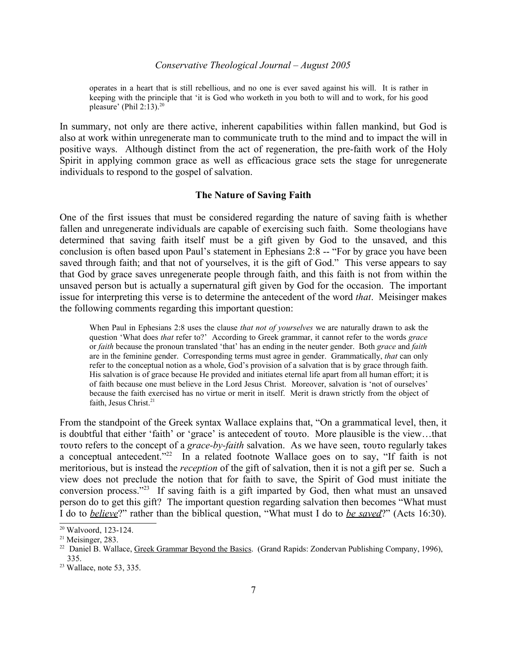operates in a heart that is still rebellious, and no one is ever saved against his will. It is rather in keeping with the principle that 'it is God who worketh in you both to will and to work, for his good pleasure' (Phil  $2:\overline{1}3$ ).<sup>20</sup>

In summary, not only are there active, inherent capabilities within fallen mankind, but God is also at work within unregenerate man to communicate truth to the mind and to impact the will in positive ways. Although distinct from the act of regeneration, the pre-faith work of the Holy Spirit in applying common grace as well as efficacious grace sets the stage for unregenerate individuals to respond to the gospel of salvation.

#### **The Nature of Saving Faith**

One of the first issues that must be considered regarding the nature of saving faith is whether fallen and unregenerate individuals are capable of exercising such faith. Some theologians have determined that saving faith itself must be a gift given by God to the unsaved, and this conclusion is often based upon Paul's statement in Ephesians 2:8 -- "For by grace you have been saved through faith; and that not of yourselves, it is the gift of God." This verse appears to say that God by grace saves unregenerate people through faith, and this faith is not from within the unsaved person but is actually a supernatural gift given by God for the occasion. The important issue for interpreting this verse is to determine the antecedent of the word *that*. Meisinger makes the following comments regarding this important question:

When Paul in Ephesians 2:8 uses the clause *that not of yourselves* we are naturally drawn to ask the question 'What does *that* refer to?' According to Greek grammar, it cannot refer to the words *grace* or *faith* because the pronoun translated 'that' has an ending in the neuter gender. Both *grace* and *faith* are in the feminine gender. Corresponding terms must agree in gender. Grammatically, *that* can only refer to the conceptual notion as a whole, God's provision of a salvation that is by grace through faith. His salvation is of grace because He provided and initiates eternal life apart from all human effort; it is of faith because one must believe in the Lord Jesus Christ. Moreover, salvation is 'not of ourselves' because the faith exercised has no virtue or merit in itself. Merit is drawn strictly from the object of faith, Jesus Christ.<sup>21</sup>

From the standpoint of the Greek syntax Wallace explains that, "On a grammatical level, then, it is doubtful that either 'faith' or 'grace' is antecedent of touto. More plausible is the view…that touto refers to the concept of a *grace-by-faith* salvation. As we have seen, touto regularly takes a conceptual antecedent."<sup>22</sup> In a related footnote Wallace goes on to say, "If faith is not meritorious, but is instead the *reception* of the gift of salvation, then it is not a gift per se. Such a view does not preclude the notion that for faith to save, the Spirit of God must initiate the conversion process."<sup>23</sup> If saving faith is a gift imparted by God, then what must an unsaved person do to get this gift? The important question regarding salvation then becomes "What must I do to *believe*?" rather than the biblical question, "What must I do to *be saved*?" (Acts 16:30).

<sup>20</sup> Walvoord, 123-124.

<sup>21</sup> Meisinger, 283.

<sup>&</sup>lt;sup>22</sup> Daniel B. Wallace, Greek Grammar Beyond the Basics. (Grand Rapids: Zondervan Publishing Company, 1996), 335.

<sup>23</sup> Wallace, note 53, 335.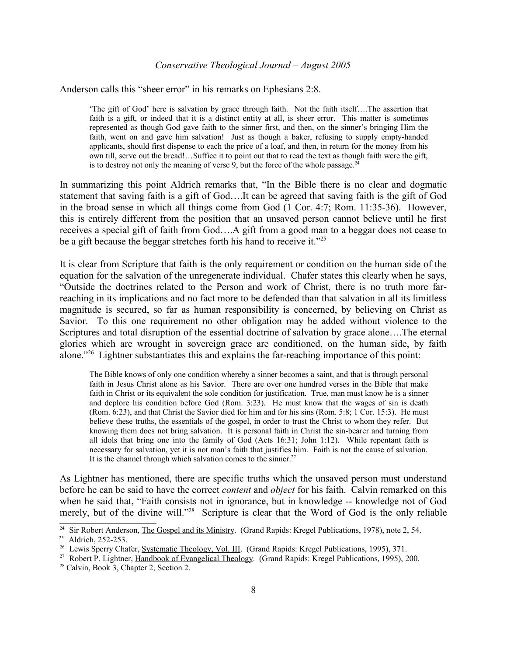Anderson calls this "sheer error" in his remarks on Ephesians 2:8.

'The gift of God' here is salvation by grace through faith. Not the faith itself….The assertion that faith is a gift, or indeed that it is a distinct entity at all, is sheer error. This matter is sometimes represented as though God gave faith to the sinner first, and then, on the sinner's bringing Him the faith, went on and gave him salvation! Just as though a baker, refusing to supply empty-handed applicants, should first dispense to each the price of a loaf, and then, in return for the money from his own till, serve out the bread!…Suffice it to point out that to read the text as though faith were the gift, is to destroy not only the meaning of verse 9, but the force of the whole passage.<sup>24</sup>

In summarizing this point Aldrich remarks that, "In the Bible there is no clear and dogmatic statement that saving faith is a gift of God….It can be agreed that saving faith is the gift of God in the broad sense in which all things come from God (1 Cor. 4:7; Rom. 11:35-36). However, this is entirely different from the position that an unsaved person cannot believe until he first receives a special gift of faith from God….A gift from a good man to a beggar does not cease to be a gift because the beggar stretches forth his hand to receive it."<sup>25</sup>

It is clear from Scripture that faith is the only requirement or condition on the human side of the equation for the salvation of the unregenerate individual. Chafer states this clearly when he says, "Outside the doctrines related to the Person and work of Christ, there is no truth more farreaching in its implications and no fact more to be defended than that salvation in all its limitless magnitude is secured, so far as human responsibility is concerned, by believing on Christ as Savior. To this one requirement no other obligation may be added without violence to the Scriptures and total disruption of the essential doctrine of salvation by grace alone….The eternal glories which are wrought in sovereign grace are conditioned, on the human side, by faith alone."<sup>26</sup> Lightner substantiates this and explains the far-reaching importance of this point:

The Bible knows of only one condition whereby a sinner becomes a saint, and that is through personal faith in Jesus Christ alone as his Savior. There are over one hundred verses in the Bible that make faith in Christ or its equivalent the sole condition for justification. True, man must know he is a sinner and deplore his condition before God (Rom. 3:23). He must know that the wages of sin is death (Rom. 6:23), and that Christ the Savior died for him and for his sins (Rom. 5:8; 1 Cor. 15:3). He must believe these truths, the essentials of the gospel, in order to trust the Christ to whom they refer. But knowing them does not bring salvation. It is personal faith in Christ the sin-bearer and turning from all idols that bring one into the family of God (Acts 16:31; John 1:12). While repentant faith is necessary for salvation, yet it is not man's faith that justifies him. Faith is not the cause of salvation. It is the channel through which salvation comes to the sinner.<sup>27</sup>

As Lightner has mentioned, there are specific truths which the unsaved person must understand before he can be said to have the correct *content* and *object* for his faith. Calvin remarked on this when he said that, "Faith consists not in ignorance, but in knowledge -- knowledge not of God merely, but of the divine will."<sup>28</sup> Scripture is clear that the Word of God is the only reliable

<sup>28</sup> Calvin, Book 3, Chapter 2, Section 2.

<sup>&</sup>lt;sup>24</sup> Sir Robert Anderson, The Gospel and its Ministry. (Grand Rapids: Kregel Publications, 1978), note 2, 54.

<sup>&</sup>lt;sup>25</sup> Aldrich, 252-253.

<sup>26</sup> Lewis Sperry Chafer, Systematic Theology, Vol. III. (Grand Rapids: Kregel Publications, 1995), 371.

<sup>&</sup>lt;sup>27</sup> Robert P. Lightner, Handbook of Evangelical Theology. (Grand Rapids: Kregel Publications, 1995), 200.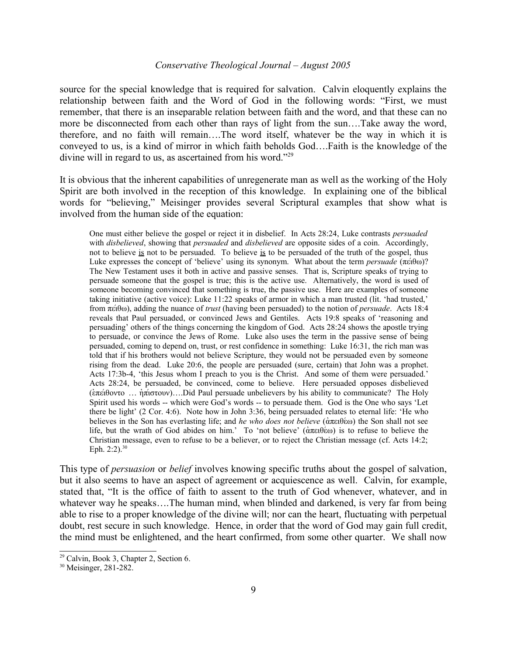source for the special knowledge that is required for salvation. Calvin eloquently explains the relationship between faith and the Word of God in the following words: "First, we must remember, that there is an inseparable relation between faith and the word, and that these can no more be disconnected from each other than rays of light from the sun….Take away the word, therefore, and no faith will remain….The word itself, whatever be the way in which it is conveyed to us, is a kind of mirror in which faith beholds God….Faith is the knowledge of the divine will in regard to us, as ascertained from his word."<sup>29</sup>

It is obvious that the inherent capabilities of unregenerate man as well as the working of the Holy Spirit are both involved in the reception of this knowledge. In explaining one of the biblical words for "believing," Meisinger provides several Scriptural examples that show what is involved from the human side of the equation:

One must either believe the gospel or reject it in disbelief. In Acts 28:24, Luke contrasts *persuaded* with *disbelieved*, showing that *persuaded* and *disbelieved* are opposite sides of a coin. Accordingly, not to believe is not to be persuaded. To believe is to be persuaded of the truth of the gospel, thus Luke expresses the concept of 'believe' using its synonym. What about the term *persuade*  $(\pi \in \mathfrak{so}(2))$ ? The New Testament uses it both in active and passive senses. That is, Scripture speaks of trying to persuade someone that the gospel is true; this is the active use. Alternatively, the word is used of someone becoming convinced that something is true, the passive use. Here are examples of someone taking initiative (active voice): Luke 11:22 speaks of armor in which a man trusted (lit. 'had trusted,' from peivqw), adding the nuance of *trust* (having been persuaded) to the notion of *persuade*. Acts 18:4 reveals that Paul persuaded, or convinced Jews and Gentiles. Acts 19:8 speaks of 'reasoning and persuading' others of the things concerning the kingdom of God. Acts 28:24 shows the apostle trying to persuade, or convince the Jews of Rome. Luke also uses the term in the passive sense of being persuaded, coming to depend on, trust, or rest confidence in something: Luke 16:31, the rich man was told that if his brothers would not believe Scripture, they would not be persuaded even by someone rising from the dead. Luke 20:6, the people are persuaded (sure, certain) that John was a prophet. Acts 17:3b-4, 'this Jesus whom I preach to you is the Christ. And some of them were persuaded.' Acts 28:24, be persuaded, be convinced, come to believe. Here persuaded opposes disbelieved  $(\epsilon \pi \epsilon \hat{\theta} \hat{\theta})$  …  $\eta \pi (\sigma \tau \hat{\theta})$  ... Did Paul persuade unbelievers by his ability to communicate? The Holy Spirit used his words -- which were God's words -- to persuade them. God is the One who says 'Let there be light' (2 Cor. 4:6). Note how in John 3:36, being persuaded relates to eternal life: 'He who believes in the Son has everlasting life; and *he who does not believe*  $(\hat{a}\pi\varepsilon\theta(\hat{e}\omega))$  the Son shall not see life, but the wrath of God abides on him.' To 'not believe'  $(\hat{\alpha}\pi\varepsilon\theta\hat{\varepsilon}\omega)$  is to refuse to believe the Christian message, even to refuse to be a believer, or to reject the Christian message (cf. Acts 14:2; Eph.  $2:2$ ).<sup>30</sup>

This type of *persuasion* or *belief* involves knowing specific truths about the gospel of salvation, but it also seems to have an aspect of agreement or acquiescence as well. Calvin, for example, stated that, "It is the office of faith to assent to the truth of God whenever, whatever, and in whatever way he speaks....The human mind, when blinded and darkened, is very far from being able to rise to a proper knowledge of the divine will; nor can the heart, fluctuating with perpetual doubt, rest secure in such knowledge. Hence, in order that the word of God may gain full credit, the mind must be enlightened, and the heart confirmed, from some other quarter. We shall now

<sup>29</sup> Calvin, Book 3, Chapter 2, Section 6.

<sup>&</sup>lt;sup>30</sup> Meisinger, 281-282.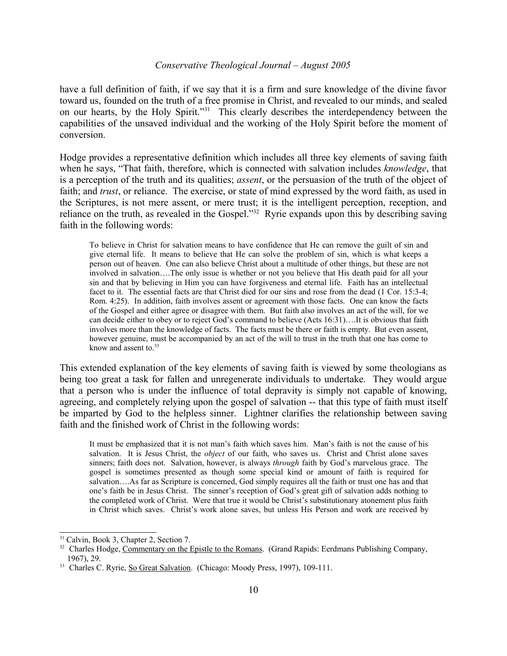have a full definition of faith, if we say that it is a firm and sure knowledge of the divine favor toward us, founded on the truth of a free promise in Christ, and revealed to our minds, and sealed on our hearts, by the Holy Spirit."<sup>31</sup> This clearly describes the interdependency between the capabilities of the unsaved individual and the working of the Holy Spirit before the moment of conversion.

Hodge provides a representative definition which includes all three key elements of saving faith when he says, "That faith, therefore, which is connected with salvation includes *knowledge*, that is a perception of the truth and its qualities; *assent*, or the persuasion of the truth of the object of faith; and *trust*, or reliance. The exercise, or state of mind expressed by the word faith, as used in the Scriptures, is not mere assent, or mere trust; it is the intelligent perception, reception, and reliance on the truth, as revealed in the Gospel."<sup>32</sup> Ryrie expands upon this by describing saving faith in the following words:

To believe in Christ for salvation means to have confidence that He can remove the guilt of sin and give eternal life. It means to believe that He can solve the problem of sin, which is what keeps a person out of heaven. One can also believe Christ about a multitude of other things, but these are not involved in salvation….The only issue is whether or not you believe that His death paid for all your sin and that by believing in Him you can have forgiveness and eternal life. Faith has an intellectual facet to it. The essential facts are that Christ died for our sins and rose from the dead (1 Cor. 15:3-4; Rom. 4:25). In addition, faith involves assent or agreement with those facts. One can know the facts of the Gospel and either agree or disagree with them. But faith also involves an act of the will, for we can decide either to obey or to reject God's command to believe (Acts 16:31)….It is obvious that faith involves more than the knowledge of facts. The facts must be there or faith is empty. But even assent, however genuine, must be accompanied by an act of the will to trust in the truth that one has come to know and assent to. $33$ 

This extended explanation of the key elements of saving faith is viewed by some theologians as being too great a task for fallen and unregenerate individuals to undertake. They would argue that a person who is under the influence of total depravity is simply not capable of knowing, agreeing, and completely relying upon the gospel of salvation -- that this type of faith must itself be imparted by God to the helpless sinner. Lightner clarifies the relationship between saving faith and the finished work of Christ in the following words:

It must be emphasized that it is not man's faith which saves him. Man's faith is not the cause of his salvation. It is Jesus Christ, the *object* of our faith, who saves us. Christ and Christ alone saves sinners; faith does not. Salvation, however, is always *through* faith by God's marvelous grace. The gospel is sometimes presented as though some special kind or amount of faith is required for salvation….As far as Scripture is concerned, God simply requires all the faith or trust one has and that one's faith be in Jesus Christ. The sinner's reception of God's great gift of salvation adds nothing to the completed work of Christ. Were that true it would be Christ's substitutionary atonement plus faith in Christ which saves. Christ's work alone saves, but unless His Person and work are received by

<sup>31</sup> Calvin, Book 3, Chapter 2, Section 7.

<sup>&</sup>lt;sup>32</sup> Charles Hodge, Commentary on the Epistle to the Romans. (Grand Rapids: Eerdmans Publishing Company, 1967), 29.

<sup>&</sup>lt;sup>33</sup> Charles C. Ryrie, So Great Salvation. (Chicago: Moody Press, 1997), 109-111.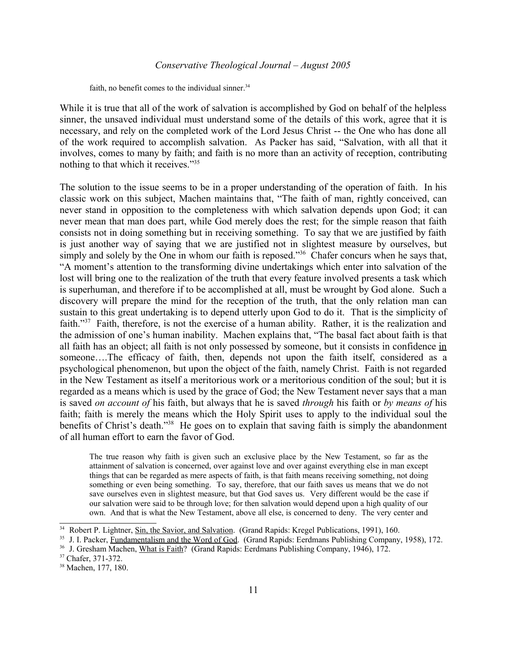faith, no benefit comes to the individual sinner. $34$ 

While it is true that all of the work of salvation is accomplished by God on behalf of the helpless sinner, the unsaved individual must understand some of the details of this work, agree that it is necessary, and rely on the completed work of the Lord Jesus Christ -- the One who has done all of the work required to accomplish salvation. As Packer has said, "Salvation, with all that it involves, comes to many by faith; and faith is no more than an activity of reception, contributing nothing to that which it receives."<sup>35</sup>

The solution to the issue seems to be in a proper understanding of the operation of faith. In his classic work on this subject, Machen maintains that, "The faith of man, rightly conceived, can never stand in opposition to the completeness with which salvation depends upon God; it can never mean that man does part, while God merely does the rest; for the simple reason that faith consists not in doing something but in receiving something. To say that we are justified by faith is just another way of saying that we are justified not in slightest measure by ourselves, but simply and solely by the One in whom our faith is reposed."<sup>36</sup> Chafer concurs when he says that, "A moment's attention to the transforming divine undertakings which enter into salvation of the lost will bring one to the realization of the truth that every feature involved presents a task which is superhuman, and therefore if to be accomplished at all, must be wrought by God alone. Such a discovery will prepare the mind for the reception of the truth, that the only relation man can sustain to this great undertaking is to depend utterly upon God to do it. That is the simplicity of faith."<sup>37</sup> Faith, therefore, is not the exercise of a human ability. Rather, it is the realization and the admission of one's human inability. Machen explains that, "The basal fact about faith is that all faith has an object; all faith is not only possessed by someone, but it consists in confidence in someone….The efficacy of faith, then, depends not upon the faith itself, considered as a psychological phenomenon, but upon the object of the faith, namely Christ. Faith is not regarded in the New Testament as itself a meritorious work or a meritorious condition of the soul; but it is regarded as a means which is used by the grace of God; the New Testament never says that a man is saved *on account of* his faith, but always that he is saved *through* his faith or *by means of* his faith; faith is merely the means which the Holy Spirit uses to apply to the individual soul the benefits of Christ's death."<sup>38</sup> He goes on to explain that saving faith is simply the abandonment of all human effort to earn the favor of God.

The true reason why faith is given such an exclusive place by the New Testament, so far as the attainment of salvation is concerned, over against love and over against everything else in man except things that can be regarded as mere aspects of faith, is that faith means receiving something, not doing something or even being something. To say, therefore, that our faith saves us means that we do not save ourselves even in slightest measure, but that God saves us. Very different would be the case if our salvation were said to be through love; for then salvation would depend upon a high quality of our own. And that is what the New Testament, above all else, is concerned to deny. The very center and

<sup>&</sup>lt;sup>34</sup> Robert P. Lightner, Sin, the Savior, and Salvation. (Grand Rapids: Kregel Publications, 1991), 160.

<sup>&</sup>lt;sup>35</sup> J. I. Packer, Fundamentalism and the Word of God. (Grand Rapids: Eerdmans Publishing Company, 1958), 172.

<sup>36</sup> J. Gresham Machen, What is Faith? (Grand Rapids: Eerdmans Publishing Company, 1946), 172.

<sup>37</sup> Chafer, 371-372.

<sup>38</sup> Machen, 177, 180.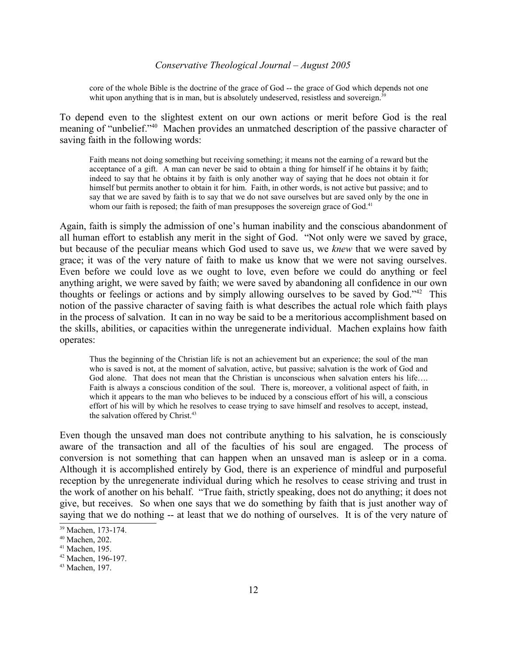core of the whole Bible is the doctrine of the grace of God -- the grace of God which depends not one whit upon anything that is in man, but is absolutely undeserved, resistless and sovereign.<sup>39</sup>

To depend even to the slightest extent on our own actions or merit before God is the real meaning of "unbelief."<sup>40</sup> Machen provides an unmatched description of the passive character of saving faith in the following words:

Faith means not doing something but receiving something; it means not the earning of a reward but the acceptance of a gift. A man can never be said to obtain a thing for himself if he obtains it by faith; indeed to say that he obtains it by faith is only another way of saying that he does not obtain it for himself but permits another to obtain it for him. Faith, in other words, is not active but passive; and to say that we are saved by faith is to say that we do not save ourselves but are saved only by the one in whom our faith is reposed; the faith of man presupposes the sovereign grace of God.<sup>41</sup>

Again, faith is simply the admission of one's human inability and the conscious abandonment of all human effort to establish any merit in the sight of God. "Not only were we saved by grace, but because of the peculiar means which God used to save us, we *knew* that we were saved by grace; it was of the very nature of faith to make us know that we were not saving ourselves. Even before we could love as we ought to love, even before we could do anything or feel anything aright, we were saved by faith; we were saved by abandoning all confidence in our own thoughts or feelings or actions and by simply allowing ourselves to be saved by God."<sup>42</sup> This notion of the passive character of saving faith is what describes the actual role which faith plays in the process of salvation. It can in no way be said to be a meritorious accomplishment based on the skills, abilities, or capacities within the unregenerate individual. Machen explains how faith operates:

Thus the beginning of the Christian life is not an achievement but an experience; the soul of the man who is saved is not, at the moment of salvation, active, but passive; salvation is the work of God and God alone. That does not mean that the Christian is unconscious when salvation enters his life.... Faith is always a conscious condition of the soul. There is, moreover, a volitional aspect of faith, in which it appears to the man who believes to be induced by a conscious effort of his will, a conscious effort of his will by which he resolves to cease trying to save himself and resolves to accept, instead, the salvation offered by Christ.<sup>43</sup>

Even though the unsaved man does not contribute anything to his salvation, he is consciously aware of the transaction and all of the faculties of his soul are engaged. The process of conversion is not something that can happen when an unsaved man is asleep or in a coma. Although it is accomplished entirely by God, there is an experience of mindful and purposeful reception by the unregenerate individual during which he resolves to cease striving and trust in the work of another on his behalf. "True faith, strictly speaking, does not do anything; it does not give, but receives. So when one says that we do something by faith that is just another way of saying that we do nothing -- at least that we do nothing of ourselves. It is of the very nature of

<sup>39</sup> Machen, 173-174.

<sup>40</sup> Machen, 202.

 $41$  Machen, 195.

<sup>42</sup> Machen, 196-197.

<sup>43</sup> Machen, 197.